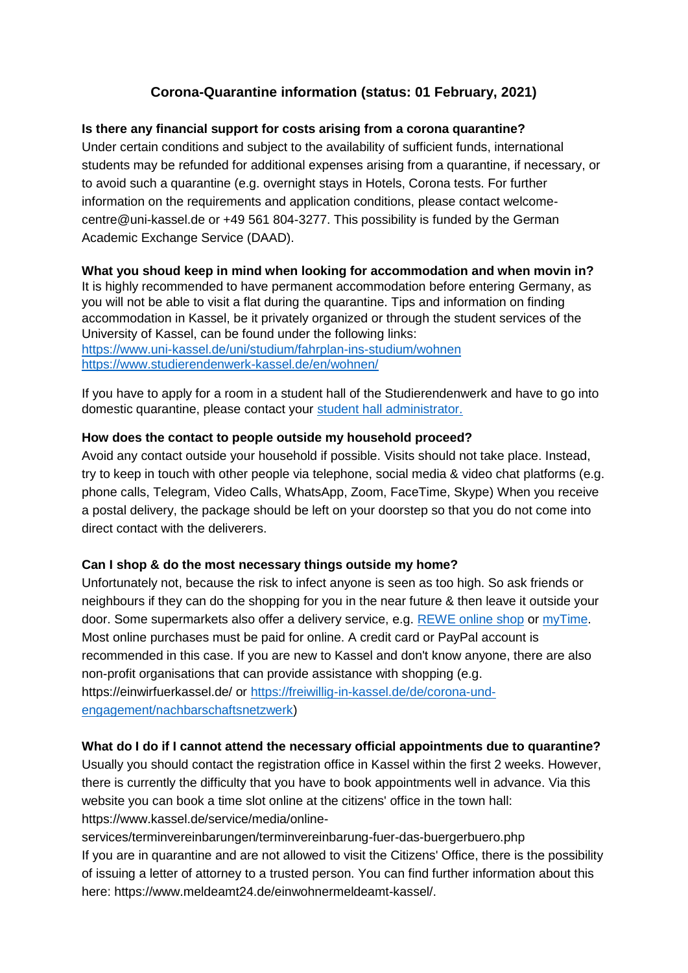# **Corona-Quarantine information (status: 01 February, 2021)**

### **Is there any financial support for costs arising from a corona quarantine?**

Under certain conditions and subject to the availability of sufficient funds, international students may be refunded for additional expenses arising from a quarantine, if necessary, or to avoid such a quarantine (e.g. overnight stays in Hotels, Corona tests. For further information on the requirements and application conditions, please contact welcomecentre@uni-kassel.de or +49 561 804-3277. This possibility is funded by the German Academic Exchange Service (DAAD).

#### **What you shoud keep in mind when looking for accommodation and when movin in?**

It is highly recommended to have permanent accommodation before entering Germany, as you will not be able to visit a flat during the quarantine. Tips and information on finding accommodation in Kassel, be it privately organized or through the student services of the University of Kassel, can be found under the following links: <https://www.uni-kassel.de/uni/studium/fahrplan-ins-studium/wohnen>

<https://www.studierendenwerk-kassel.de/en/wohnen/>

If you have to apply for a room in a student hall of the Studierendenwerk and have to go into domestic quarantine, please contact your [student hall administrator.](https://www.studierendenwerk-kassel.de/en/kontakt/kontakt/#c1339)

#### **How does the contact to people outside my household proceed?**

Avoid any contact outside your household if possible. Visits should not take place. Instead, try to keep in touch with other people via telephone, social media & video chat platforms (e.g. phone calls, Telegram, Video Calls, WhatsApp, Zoom, FaceTime, Skype) When you receive a postal delivery, the package should be left on your doorstep so that you do not come into direct contact with the deliverers.

### **Can I shop & do the most necessary things outside my home?**

Unfortunately not, because the risk to infect anyone is seen as too high. So ask friends or neighbours if they can do the shopping for you in the near future & then leave it outside your door. Some supermarkets also offer a delivery service, e.g. [REWE online shop](https://shop.rewe.de/?ecid=sea_bing_ls_brands_s-de-%5btmk-0001|ex|ls%5d_rewe-online-shop-%5btmk-0001|eco-0008|typ-0001|2|ex|ls%5d_text-ad_nn_nn&msclkid=d7519eee3a58192853d4c1b41143f454) or [myTime.](https://www.mytime.de/?MerchantID=gaw&adword=google%2Fmytime_brands%2Fbrands_brands_exact%2Fmytime&msclkid=c5a9ba5c17c316c05e3ce5063c454fe7) Most online purchases must be paid for online. A credit card or PayPal account is recommended in this case. If you are new to Kassel and don't know anyone, there are also non-profit organisations that can provide assistance with shopping (e.g. https://einwirfuerkassel.de/ or [https://freiwillig-in-kassel.de/de/corona-und](https://freiwillig-in-kassel.de/de/corona-und-engagement/nachbarschaftsnetzwerk)[engagement/nachbarschaftsnetzwerk\)](https://freiwillig-in-kassel.de/de/corona-und-engagement/nachbarschaftsnetzwerk)

#### **What do I do if I cannot attend the necessary official appointments due to quarantine?**

Usually you should contact the registration office in Kassel within the first 2 weeks. However, there is currently the difficulty that you have to book appointments well in advance. Via this website you can book a time slot online at the citizens' office in the town hall: https://www.kassel.de/service/media/online-

services/terminvereinbarungen/terminvereinbarung-fuer-das-buergerbuero.php If you are in quarantine and are not allowed to visit the Citizens' Office, there is the possibility of issuing a letter of attorney to a trusted person. You can find further information about this here: https://www.meldeamt24.de/einwohnermeldeamt-kassel/.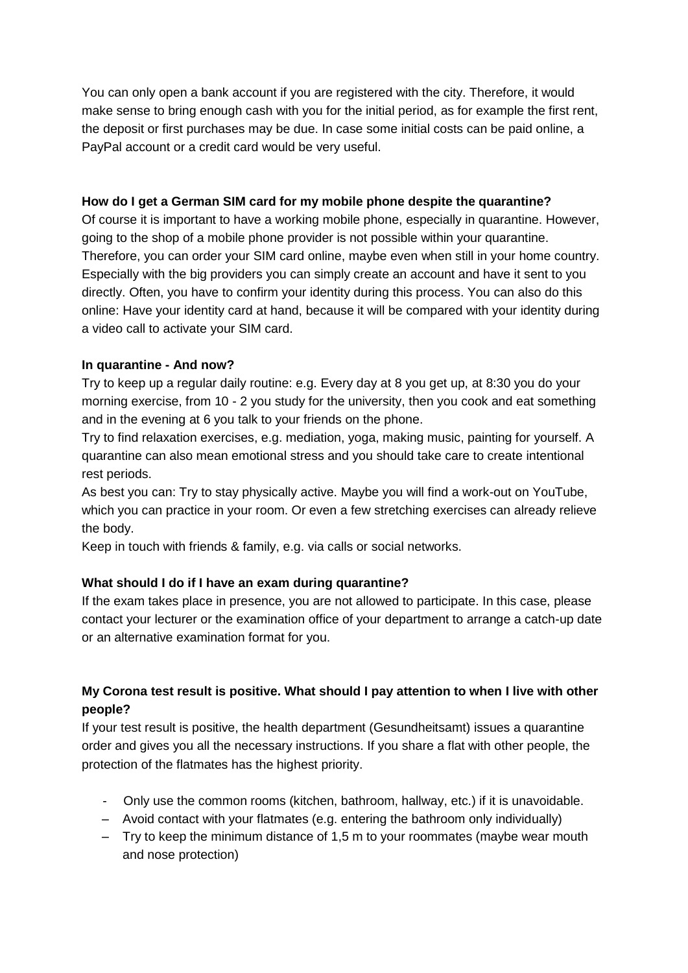You can only open a bank account if you are registered with the city. Therefore, it would make sense to bring enough cash with you for the initial period, as for example the first rent, the deposit or first purchases may be due. In case some initial costs can be paid online, a PayPal account or a credit card would be very useful.

#### **How do I get a German SIM card for my mobile phone despite the quarantine?**

Of course it is important to have a working mobile phone, especially in quarantine. However, going to the shop of a mobile phone provider is not possible within your quarantine. Therefore, you can order your SIM card online, maybe even when still in your home country. Especially with the big providers you can simply create an account and have it sent to you directly. Often, you have to confirm your identity during this process. You can also do this online: Have your identity card at hand, because it will be compared with your identity during a video call to activate your SIM card.

#### **In quarantine - And now?**

Try to keep up a regular daily routine: e.g. Every day at 8 you get up, at 8:30 you do your morning exercise, from 10 - 2 you study for the university, then you cook and eat something and in the evening at 6 you talk to your friends on the phone.

Try to find relaxation exercises, e.g. mediation, yoga, making music, painting for yourself. A quarantine can also mean emotional stress and you should take care to create intentional rest periods.

As best you can: Try to stay physically active. Maybe you will find a work-out on YouTube, which you can practice in your room. Or even a few stretching exercises can already relieve the body.

Keep in touch with friends & family, e.g. via calls or social networks.

### **What should I do if I have an exam during quarantine?**

If the exam takes place in presence, you are not allowed to participate. In this case, please contact your lecturer or the examination office of your department to arrange a catch-up date or an alternative examination format for you.

## **My Corona test result is positive. What should I pay attention to when I live with other people?**

If your test result is positive, the health department (Gesundheitsamt) issues a quarantine order and gives you all the necessary instructions. If you share a flat with other people, the protection of the flatmates has the highest priority.

- Only use the common rooms (kitchen, bathroom, hallway, etc.) if it is unavoidable.
- Avoid contact with your flatmates (e.g. entering the bathroom only individually)
- Try to keep the minimum distance of 1,5 m to your roommates (maybe wear mouth and nose protection)